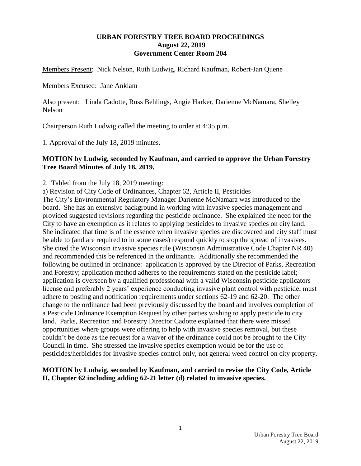#### **URBAN FORESTRY TREE BOARD PROCEEDINGS August 22, 2019 Government Center Room 204**

Members Present: Nick Nelson, Ruth Ludwig, Richard Kaufman, Robert-Jan Quene

Members Excused: Jane Anklam

Also present: Linda Cadotte, Russ Behlings, Angie Harker, Darienne McNamara, Shelley Nelson

Chairperson Ruth Ludwig called the meeting to order at 4:35 p.m.

1. Approval of the July 18, 2019 minutes.

### **MOTION by Ludwig, seconded by Kaufman, and carried to approve the Urban Forestry Tree Board Minutes of July 18, 2019.**

2. Tabled from the July 18, 2019 meeting:

a) Revision of City Code of Ordinances, Chapter 62, Article II, Pesticides

The City's Environmental Regulatory Manager Darienne McNamara was introduced to the board. She has an extensive background in working with invasive species management and provided suggested revisions regarding the pesticide ordinance. She explained the need for the City to have an exemption as it relates to applying pesticides to invasive species on city land. She indicated that time is of the essence when invasive species are discovered and city staff must be able to (and are required to in some cases) respond quickly to stop the spread of invasives. She cited the Wisconsin invasive species rule (Wisconsin Administrative Code Chapter NR 40) and recommended this be referenced in the ordinance. Additionally she recommended the following be outlined in ordinance: application is approved by the Director of Parks, Recreation and Forestry; application method adheres to the requirements stated on the pesticide label; application is overseen by a qualified professional with a valid Wisconsin pesticide applicators license and preferably 2 years' experience conducting invasive plant control with pesticide; must adhere to posting and notification requirements under sections 62-19 and 62-20. The other change to the ordinance had been previously discussed by the board and involves completion of a Pesticide Ordinance Exemption Request by other parties wishing to apply pesticide to city land. Parks, Recreation and Forestry Director Cadotte explained that there were missed opportunities where groups were offering to help with invasive species removal, but these couldn't be done as the request for a waiver of the ordinance could not be brought to the City Council in time. She stressed the invasive species exemption would be for the use of pesticides/herbicides for invasive species control only, not general weed control on city property.

# **MOTION by Ludwig, seconded by Kaufman, and carried to revise the City Code, Article II, Chapter 62 including adding 62-21 letter (d) related to invasive species.**